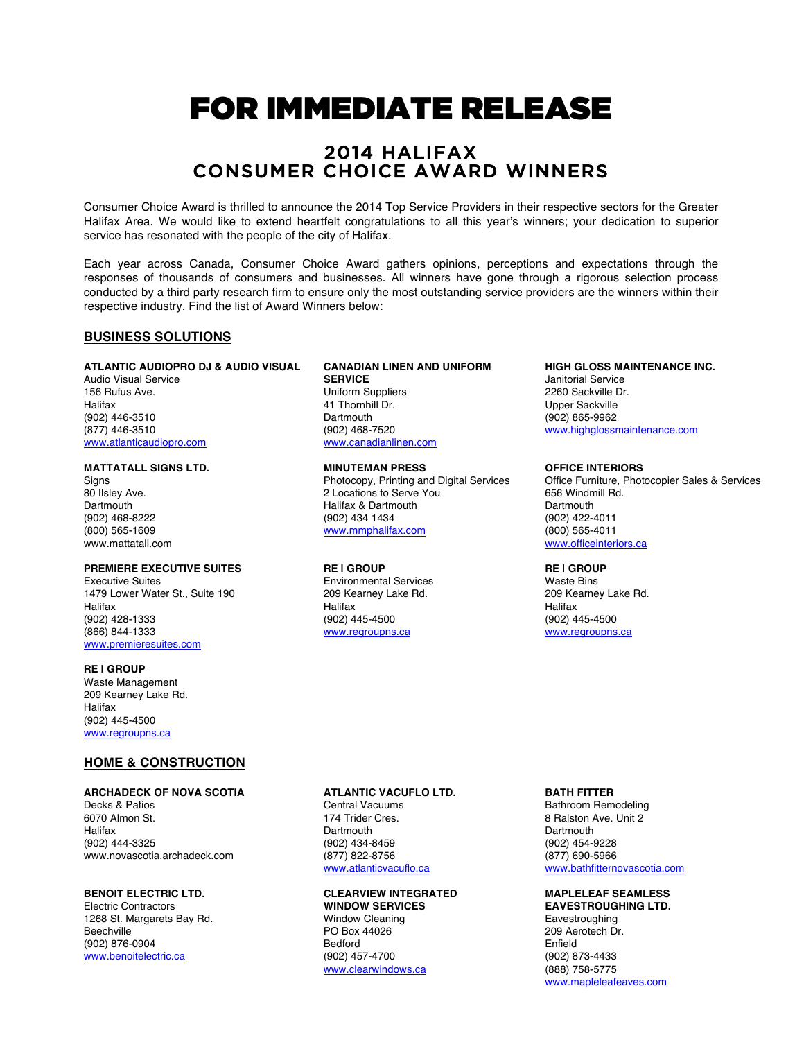# FOR IMMEDIATE RELEASE

# 2014 HALIFAX CONSUMER CHOICE AWARD WINNERS

Consumer Choice Award is thrilled to announce the 2014 Top Service Providers in their respective sectors for the Greater Halifax Area. We would like to extend heartfelt congratulations to all this year's winners; your dedication to superior service has resonated with the people of the city of Halifax.

Each year across Canada, Consumer Choice Award gathers opinions, perceptions and expectations through the responses of thousands of consumers and businesses. All winners have gone through a rigorous selection process conducted by a third party research firm to ensure only the most outstanding service providers are the winners within their respective industry. Find the list of Award Winners below:

## **BUSINESS SOLUTIONS**

## **ATLANTIC AUDIOPRO DJ & AUDIO VISUAL**

Audio Visual Service 156 Rufus Ave. **Halifax** (902) 446-3510 (877) 446-3510 www.atlanticaudiopro.com

#### **MATTATALL SIGNS LTD.**

Signs 80 Ilsley Ave. **Dartmouth** (902) 468-8222 (800) 565-1609 www.mattatall.com

## **PREMIERE EXECUTIVE SUITES**

Executive Suites 1479 Lower Water St., Suite 190 **Halifax** (902) 428-1333 (866) 844-1333 www.premieresuites.com

## **RE | GROUP**

Waste Management 209 Kearney Lake Rd. Halifax (902) 445-4500 www.regroupns.ca

## **HOME & CONSTRUCTION**

#### **ARCHADECK OF NOVA SCOTIA**

Decks & Patios 6070 Almon St. Halifax (902) 444-3325 www.novascotia.archadeck.com

## **BENOIT ELECTRIC LTD.**

Electric Contractors 1268 St. Margarets Bay Rd. **Beechville** (902) 876-0904 www.benoitelectric.ca

#### **CANADIAN LINEN AND UNIFORM SERVICE**

Uniform Suppliers 41 Thornhill Dr. **Dartmouth** (902) 468-7520 www.canadianlinen.com

#### **MINUTEMAN PRESS**

Photocopy, Printing and Digital Services 2 Locations to Serve You Halifax & Dartmouth (902) 434 1434 www.mmphalifax.com

#### **RE | GROUP**

Environmental Services 209 Kearney Lake Rd. **Halifax** (902) 445-4500 www.regroupns.ca

#### **HIGH GLOSS MAINTENANCE INC.**

Janitorial Service 2260 Sackville Dr. Upper Sackville (902) 865-9962 www.highglossmaintenance.com

#### **OFFICE INTERIORS**

Office Furniture, Photocopier Sales & Services 656 Windmill Rd. **Dartmouth** (902) 422-4011 (800) 565-4011 www.officeinteriors.ca

## **RE | GROUP**

Waste Bins 209 Kearney Lake Rd. Halifax (902) 445-4500 www.regroupns.ca

## **ATLANTIC VACUFLO LTD.**

Central Vacuums 174 Trider Cres. Dartmouth (902) 434-8459 (877) 822-8756 www.atlanticvacuflo.ca

#### **CLEARVIEW INTEGRATED WINDOW SERVICES**

Window Cleaning PO Box 44026 Bedford (902) 457-4700 www.clearwindows.ca

## **BATH FITTER**

Bathroom Remodeling 8 Ralston Ave. Unit 2 **Dartmouth** (902) 454-9228 (877) 690-5966 www.bathfitternovascotia.com

#### **MAPLELEAF SEAMLESS EAVESTROUGHING LTD.**

Eavestroughing 209 Aerotech Dr. Enfield (902) 873-4433 (888) 758-5775 www.mapleleafeaves.com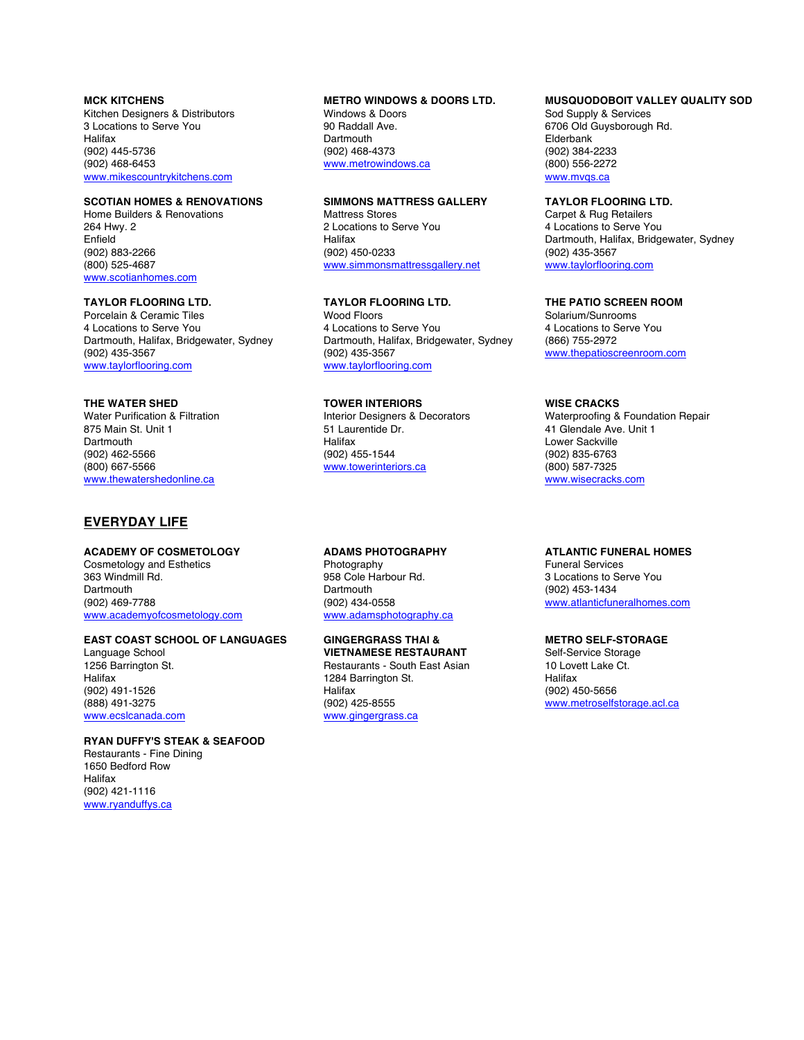## **MCK KITCHENS**

Kitchen Designers & Distributors 3 Locations to Serve You **Halifax** (902) 445-5736 (902) 468-6453 www.mikescountrykitchens.com

## **SCOTIAN HOMES & RENOVATIONS**

Home Builders & Renovations 264 Hwy. 2 Enfield (902) 883-2266 (800) 525-4687 www.scotianhomes.com

## **TAYLOR FLOORING LTD.**

Porcelain & Ceramic Tiles 4 Locations to Serve You Dartmouth, Halifax, Bridgewater, Sydney (902) 435-3567 www.taylorflooring.com

## **THE WATER SHED**

Water Purification & Filtration 875 Main St. Unit 1 Dartmouth (902) 462-5566 (800) 667-5566 www.thewatershedonline.ca

## **EVERYDAY LIFE**

#### **ACADEMY OF COSMETOLOGY**

Cosmetology and Esthetics 363 Windmill Rd. **Dartmouth** (902) 469-7788 www.academyofcosmetology.com

#### **EAST COAST SCHOOL OF LANGUAGES**

Language School 1256 Barrington St. Halifax (902) 491-1526 (888) 491-3275 www.ecslcanada.com

#### **RYAN DUFFY'S STEAK & SEAFOOD**

Restaurants - Fine Dining 1650 Bedford Row Halifax (902) 421-1116 www.ryanduffys.ca

## **METRO WINDOWS & DOORS LTD.**

Windows & Doors 90 Raddall Ave. **Dartmouth** (902) 468-4373 www.metrowindows.ca

## **SIMMONS MATTRESS GALLERY**

Mattress Stores 2 Locations to Serve You Halifax (902) 450-0233 www.simmonsmattressgallery.net

## **TAYLOR FLOORING LTD.**

Wood Floors 4 Locations to Serve You Dartmouth, Halifax, Bridgewater, Sydney (902) 435-3567 www.taylorflooring.com

## **TOWER INTERIORS**

Interior Designers & Decorators 51 Laurentide Dr. Halifax (902) 455-1544 www.towerinteriors.ca

#### **ADAMS PHOTOGRAPHY**

Photography 958 Cole Harbour Rd. **Dartmouth** (902) 434-0558 www.adamsphotography.ca

#### **GINGERGRASS THAI &**

**VIETNAMESE RESTAURANT** Restaurants - South East Asian 1284 Barrington St. Halifax (902) 425-8555 www.gingergrass.ca

## **MUSQUODOBOIT VALLEY QUALITY SOD**

Sod Supply & Services 6706 Old Guysborough Rd. Elderbank (902) 384-2233 (800) 556-2272 www.mvgs.ca

## **TAYLOR FLOORING LTD.**

Carpet & Rug Retailers 4 Locations to Serve You Dartmouth, Halifax, Bridgewater, Sydney (902) 435-3567 www.taylorflooring.com

## **THE PATIO SCREEN ROOM**

Solarium/Sunrooms 4 Locations to Serve You (866) 755-2972 www.thepatioscreenroom.com

## **WISE CRACKS**

Waterproofing & Foundation Repair 41 Glendale Ave. Unit 1 Lower Sackville (902) 835-6763 (800) 587-7325 www.wisecracks.com

## **ATLANTIC FUNERAL HOMES**

Funeral Services 3 Locations to Serve You (902) 453-1434 www.atlanticfuneralhomes.com

## **METRO SELF-STORAGE**

Self-Service Storage 10 Lovett Lake Ct. Halifax (902) 450-5656 www.metroselfstorage.acl.ca